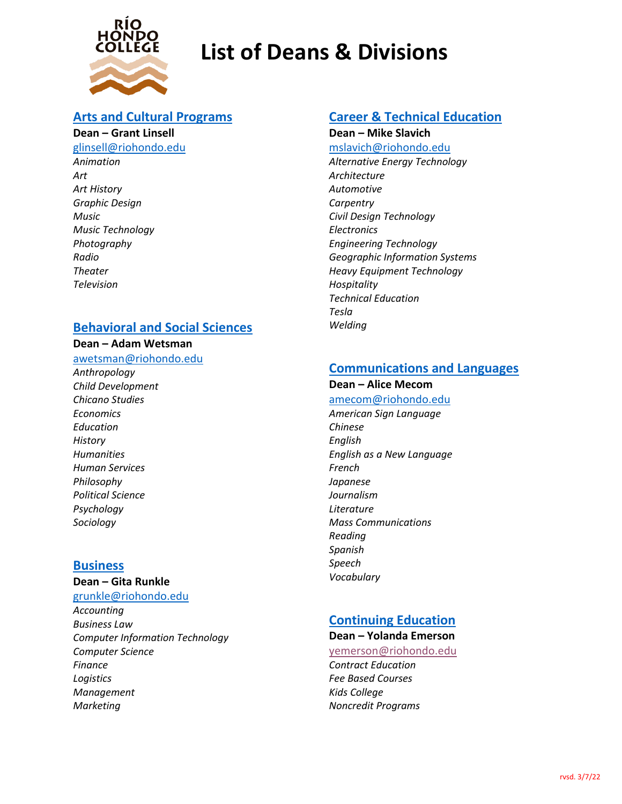

# **List of Deans & Divisions**

### **[Arts and Cultural Programs](https://www.riohondo.edu/arts/)**

#### **Dean – Grant Linsell**

[glinsell@riohondo.edu](mailto:glinsell@riohondo.edu) *Animation*

*Art Art History Graphic Design Music Music Technology Photography Radio Theater Television*

## **[Behavioral and Social Sciences](https://www.riohondo.edu/behavioral-and-social-sciences/)**

#### **Dean – Adam Wetsman**

- [awetsman@riohondo.edu](mailto:awetsman@riohondo.edu)
- *Anthropology Child Development Chicano Studies Economics Education History Humanities Human Services Philosophy Political Science Psychology Sociology*

#### **[Business](https://www.riohondo.edu/business/)**

**Dean – Gita Runkle**

[grunkle@riohondo.edu](mailto:grunkle@riohondo.edu)

*Accounting Business Law Computer Information Technology Computer Science Finance Logistics Management Marketing*

## **[Career & Technical Education](https://www.riohondo.edu/career-and-technical-education/)**

**Dean – Mike Slavich**

mslavich@riohondo.edu *Alternative Energy Technology Architecture Automotive Carpentry Civil Design Technology Electronics Engineering Technology Geographic Information Systems Heavy Equipment Technology Hospitality Technical Education Tesla Welding*

## **[Communications and Languages](https://www.riohondo.edu/communications-and-languages/)**

#### **Dean – Alice Mecom**

- [amecom@riohondo.edu](mailto:amecom@riohondo.edu)
- *American Sign Language Chinese English English as a New Language French Japanese Journalism Literature Mass Communications Reading Spanish Speech Vocabulary*

#### **[Continuing Education](https://www.riohondo.edu/continuing-education/) Dean – Yolanda Emerson**

[yemerson@riohondo.edu](mailto:yemerson@riohondo.edu) *Contract Education Fee Based Courses Kids College Noncredit Programs*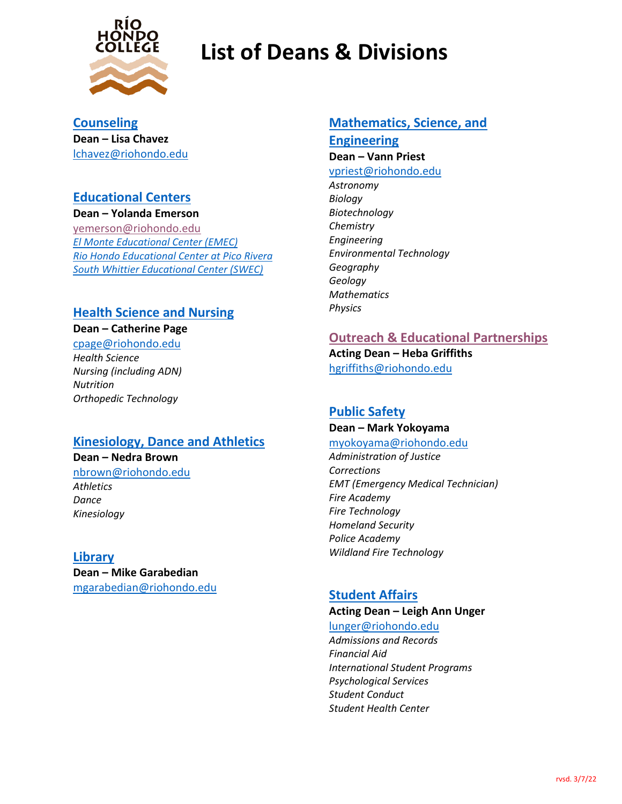

# **List of Deans & Divisions**

**[Counseling](https://www.riohondo.edu/counseling-center/)  Dean – Lisa Chavez** [lchavez@riohondo.edu](mailto:lchavez@riohondo.edu)

### **[Educational](https://www.riohondo.edu/locations/) Centers**

**Dean – Yolanda Emerson** [yemerson@riohondo.edu](mailto:yemerson@riohondo.edu) *[El Monte Educational Center \(EMEC\)](https://www.riohondo.edu/emec/) [Rio Hondo Educational Center at Pico Rivera](https://www.riohondo.edu/picorivera/) [South Whittier Educational Center \(SWEC\)](https://www.riohondo.edu/swec/)*

## **[Health Science and Nursing](https://www.riohondo.edu/health-science-and-nursing/)**

#### **Dean – Catherine Page**

[cpage@riohondo.edu](mailto:cpage@riohondo.edu) *Health Science Nursing (including ADN) Nutrition Orthopedic Technology*

## **[Kinesiology, Dance and Athletics](https://www.riohondo.edu/kinesiology/)**

**Dean – Nedra Brown** [nbrown@riohondo.edu](mailto:nbrown@riohondo.edu) *Athletics Dance Kinesiology*

#### **[Library](https://www.riohondo.edu/library/)**

**Dean – Mike Garabedian** [mgarabedian@riohondo.edu](mailto:mgarabedian@riohondo.edu)

### **[Mathematics, Science, and](https://www.riohondo.edu/mathematics-and-sciences/)**

**[Engineering](https://www.riohondo.edu/mathematics-and-sciences/) Dean – Vann Priest** [vpriest@riohondo.edu](mailto:vpriest@riohondo.edu)

*Astronomy Biology Biotechnology Chemistry Engineering Environmental Technology Geography Geology Mathematics Physics*

## **[Outreach & Educational Partnerships](https://www.riohondo.edu/outreach/)**

**Acting Dean – Heba Griffiths** [hgriffiths@riohondo.edu](mailto:hgriffiths@riohondo.edu)

## **[Public Safety](https://www.riohondo.edu/public-safety/)**

#### **Dean – Mark Yokoyama**

[myokoyama@riohondo.edu](mailto:myokoyama@riohondo.edu)

*Administration of Justice Corrections EMT (Emergency Medical Technician) Fire Academy Fire Technology Homeland Security Police Academy Wildland Fire Technology*

## **[Student Affairs](https://www.riohondo.edu/support-programs/)**

#### **Acting Dean – Leigh Ann Unger**

[lunger@riohondo.edu](mailto:lunger@riohondo.edu) *Admissions and Records Financial Aid International Student Programs*

*Psychological Services Student Conduct Student Health Center*